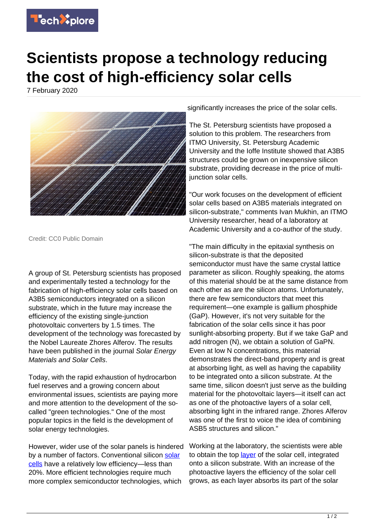

## **Scientists propose a technology reducing the cost of high-efficiency solar cells**

7 February 2020



Credit: CC0 Public Domain

A group of St. Petersburg scientists has proposed and experimentally tested a technology for the fabrication of high-efficiency solar cells based on A3B5 semiconductors integrated on a silicon substrate, which in the future may increase the efficiency of the existing single-junction photovoltaic converters by 1.5 times. The development of the technology was forecasted by the Nobel Laureate Zhores Alferov. The results have been published in the journal Solar Energy Materials and Solar Cells.

Today, with the rapid exhaustion of hydrocarbon fuel reserves and a growing concern about environmental issues, scientists are paying more and more attention to the development of the socalled "green technologies." One of the most popular topics in the field is the development of solar energy technologies.

However, wider use of the solar panels is hindered by a number of factors. Conventional silicon [solar](https://techxplore.com/tags/solar+cells/) [cells](https://techxplore.com/tags/solar+cells/) have a relatively low efficiency—less than 20%. More efficient technologies require much more complex semiconductor technologies, which

significantly increases the price of the solar cells.

The St. Petersburg scientists have proposed a solution to this problem. The researchers from ITMO University, St. Petersburg Academic University and the Ioffe Institute showed that A3B5 structures could be grown on inexpensive silicon substrate, providing decrease in the price of multijunction solar cells.

"Our work focuses on the development of efficient solar cells based on A3B5 materials integrated on silicon-substrate," comments Ivan Mukhin, an ITMO University researcher, head of a laboratory at Academic University and a co-author of the study.

"The main difficulty in the epitaxial synthesis on silicon-substrate is that the deposited semiconductor must have the same crystal lattice parameter as silicon. Roughly speaking, the atoms of this material should be at the same distance from each other as are the silicon atoms. Unfortunately, there are few semiconductors that meet this requirement—one example is gallium phosphide (GaP). However, it's not very suitable for the fabrication of the solar cells since it has poor sunlight-absorbing property. But if we take GaP and add nitrogen (N), we obtain a solution of GaPN. Even at low N concentrations, this material demonstrates the direct-band property and is great at absorbing light, as well as having the capability to be integrated onto a silicon substrate. At the same time, silicon doesn't just serve as the building material for the photovoltaic layers—it itself can act as one of the photoactive layers of a solar cell, absorbing light in the infrared range. Zhores Alferov was one of the first to voice the idea of combining ASB5 structures and silicon."

Working at the laboratory, the scientists were able to obtain the top [layer](https://techxplore.com/tags/layer/) of the solar cell, integrated onto a silicon substrate. With an increase of the photoactive layers the efficiency of the solar cell grows, as each layer absorbs its part of the solar